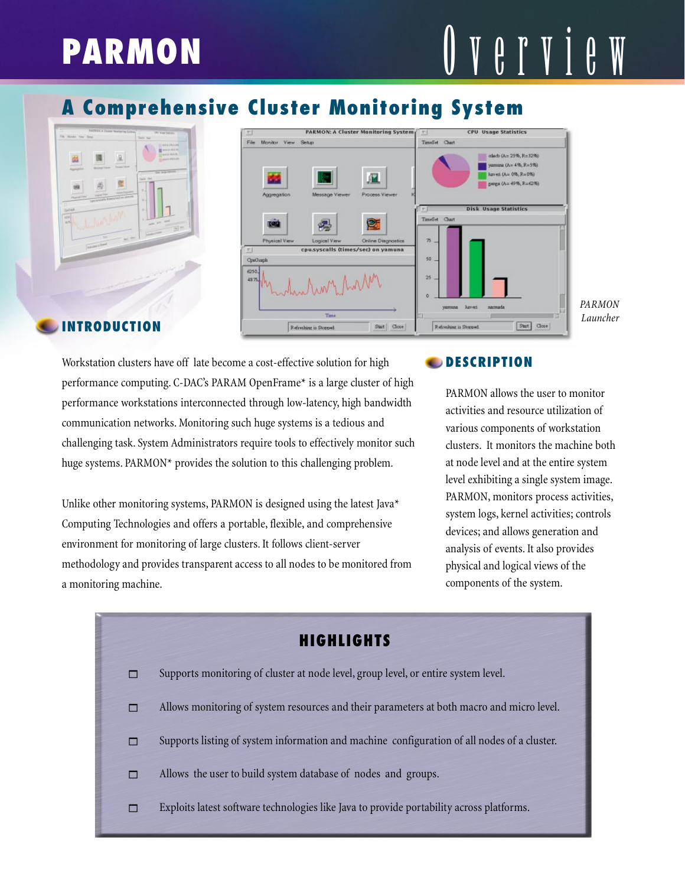# **PARMON**  $\mathbf{U} \nmid \mathbf{V} \nmid \mathbf{V} \nmid \mathbf{V} \nmid \mathbf{V}$

## **A Comprehensive Cluster Monitoring System**





Workstation clusters have off late become a cost-effective solution for high performance computing. C-DAC's PARAM OpenFrame\* is a large cluster of high performance workstations interconnected through low-latency, high bandwidth communication networks. Monitoring such huge systems is a tedious and challenging task. System Administrators require tools to effectively monitor such huge systems. PARMON\* provides the solution to this challenging problem.

Unlike other monitoring systems, PARMON is designed using the latest Java\* Computing Technologies and offers a portable, flexible, and comprehensive environment for monitoring of large clusters. It follows client-server methodology and provides transparent access to all nodes to be monitored from a monitoring machine.

#### **DESCRIPTION**

PARMON allows the user to monitor activities and resource utilization of various components of workstation clusters. It monitors the machine both at node level and at the entire system level exhibiting a single system image. PARMON, monitors process activities, system logs, kernel activities; controls devices; and allows generation and analysis of events. It also provides physical and logical views of the components of the system.

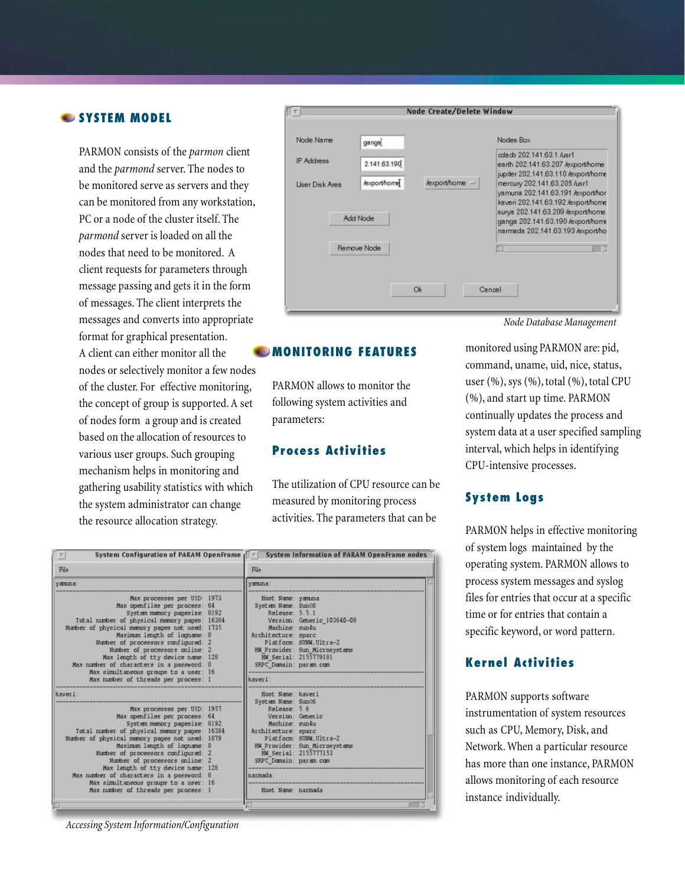#### **SYSTEM MODEL**

PARMON consists of the *parmon* client and the *parmond* server. The nodes to be monitored serve as servers and they can be monitored from any workstation, PC or a node of the cluster itself. The *parmond* server is loaded on all the nodes that need to be monitored. A client requests for parameters through message passing and gets it in the form of messages. The client interprets the messages and converts into appropriate format for graphical presentation. A client can either monitor all the nodes or selectively monitor a few nodes of the cluster. For effective monitoring, the concept of group is supported. A set of nodes form a group and is created based on the allocation of resources to various user groups. Such grouping mechanism helps in monitoring and gathering usability statistics with which the system administrator can change the resource allocation strategy.

| Node Name                    | gangal                                          |                | Nodes Box                                                                                                                                                                                                                                            |
|------------------------------|-------------------------------------------------|----------------|------------------------------------------------------------------------------------------------------------------------------------------------------------------------------------------------------------------------------------------------------|
| IP Address<br>User Disk Area | 2.141.63.190<br>/export/home<br><b>Add Node</b> | /export/home - | odacb 202.141.63.1 /usr1<br>earth 202.141.63.207 /export/home<br>jupiter 202.141.63.110 /export/home<br>mercury 202.141.63.205 /usr1<br>yamuna 202.141.63.191 /export/hor<br>kaveri 202.141.63.192 /export/home<br>surya 202.141.63.209 /export/home |
|                              | Remove Node                                     |                | ganga 202.141.63.190 /export/home<br>narmada 202.141.63.193 /export/ho                                                                                                                                                                               |

*Node Database Management*

#### **MONITORING FEATURES**

PARMON allows to monitor the following system activities and parameters:

#### **Process Activities**

The utilization of CPU resource can be measured by monitoring process activities. The parameters that can be

monitored using PARMON are: pid, command, uname, uid, nice, status, user  $(\%),$  sys  $(\%),$  total  $(\%),$  total CPU (%), and start up time. PARMON continually updates the process and system data at a user specified sampling interval, which helps in identifying CPU-intensive processes.

#### **System Logs**

PARMON helps in effective monitoring of system logs maintained by the operating system. PARMON allows to process system messages and syslog files for entries that occur at a specific time or for entries that contain a specific keyword, or word pattern.

#### **Kernel Activities**

PARMON supports software instrumentation of system resources such as CPU, Memory, Disk, and Network. When a particular resource has more than one instance, PARMON allows monitoring of each resource instance individually.

| File                                                                                                                                                                                                                                                                                                                                                                                                                               |  | File                                                                                                                                                       |                                                                                                                |  |
|------------------------------------------------------------------------------------------------------------------------------------------------------------------------------------------------------------------------------------------------------------------------------------------------------------------------------------------------------------------------------------------------------------------------------------|--|------------------------------------------------------------------------------------------------------------------------------------------------------------|----------------------------------------------------------------------------------------------------------------|--|
| yamuna:                                                                                                                                                                                                                                                                                                                                                                                                                            |  | yamına:                                                                                                                                                    |                                                                                                                |  |
| Max processes per UID: 1973<br>Max openfiles per process: 64<br>System memory pagesize: 8192<br>Total number of physical memory pages: 16384<br>Number of physical memory pages not used: 1735<br>Maximum length of locname: 8<br>Number of processors configured: 2<br>Number of processors online: 2<br>Max length of tty device name: 128<br>Max number of characters in a password: 8<br>Max simultaneous groups to a user: 16 |  | Host Name: yamına<br>System Name: SunOS<br>Release: 5.5.1<br>Machine: sun4u<br>Architecture: sparc<br>SRPC Domain: param.com                               | Version: Generic 103640-08<br>Platform: SUNW.Ultra-2<br>HW Provider: Sun Microsystems<br>HW Serial: 2155779181 |  |
| Max number of threads per process: 1                                                                                                                                                                                                                                                                                                                                                                                               |  | kaveri:                                                                                                                                                    |                                                                                                                |  |
| kaveri:<br>Max processes per UID: 1957<br>Max openfiles per process: 64<br>System memory pagesize: 8192<br>Total number of physical memory pages: 16384<br>Number of physical memory pages not used: 1879<br>Maximum length of logname: 8<br>Number of processors configured: 2<br>Number of processors online: 2<br>Max length of tty device name: 128<br>Max number of characters in a password: 8                               |  | Host Name: kaveri<br>System Name: Sun0S<br>Release: 5.6<br>Version: Generic<br>Machine: sun4u<br>Architecture: sparc<br>SRPC Domain: param.com<br>narmada: | Platform: SUNW.Ultra-2<br>HW Provider: Sun Microsystems<br>HW Serial: 2155777153                               |  |
| Max simultaneous groups to a user: 16<br>Max number of threads per process: 1                                                                                                                                                                                                                                                                                                                                                      |  | Host Name: narmada                                                                                                                                         |                                                                                                                |  |

*Accessing System Information/Configuration*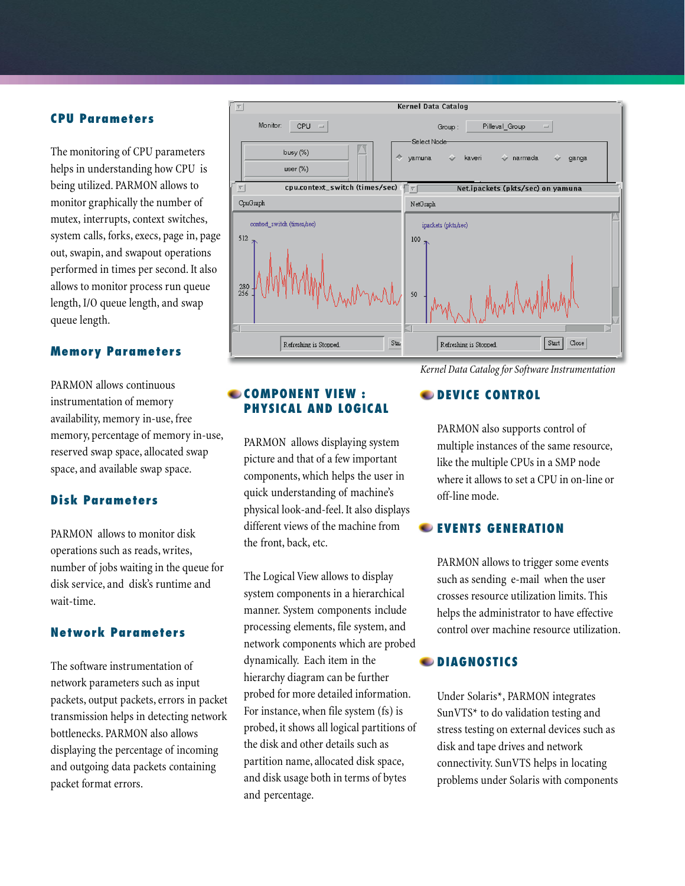#### **CPU Parameters**

The monitoring of CPU parameters helps in understanding how CPU is being utilized. PARMON allows to monitor graphically the number of mutex, interrupts, context switches, system calls, forks, execs, page in, page out, swapin, and swapout operations performed in times per second. It also allows to monitor process run queue length, I/O queue length, and swap queue length.

#### **Memory Parameters**

PARMON allows continuous instrumentation of memory availability, memory in-use, free memory, percentage of memory in-use, reserved swap space, allocated swap space, and available swap space.

#### **Disk Parameters**

PARMON allows to monitor disk operations such as reads, writes, number of jobs waiting in the queue for disk service, and disk's runtime and wait-time.

#### **Network Parameters**

The software instrumentation of network parameters such as input packets, output packets, errors in packet transmission helps in detecting network bottlenecks. PARMON also allows displaying the percentage of incoming and outgoing data packets containing packet format errors.



#### **COMPONENT VIEW : PHYSICAL AND LOGICAL**

PARMON allows displaying system picture and that of a few important components, which helps the user in quick understanding of machine's physical look-and-feel. It also displays different views of the machine from the front, back, etc.

The Logical View allows to display system components in a hierarchical manner. System components include processing elements, file system, and network components which are probed dynamically. Each item in the hierarchy diagram can be further probed for more detailed information. For instance, when file system (fs) is probed, it shows all logical partitions of the disk and other details such as partition name, allocated disk space, and disk usage both in terms of bytes and percentage.

### **CDEVICE CONTROL**

PARMON also supports control of multiple instances of the same resource, like the multiple CPUs in a SMP node where it allows to set a CPU in on-line or off-line mode.

#### **EVENTS GENERATION**

PARMON allows to trigger some events such as sending e-mail when the user crosses resource utilization limits. This helps the administrator to have effective control over machine resource utilization.

#### **DIAGNOSTICS**

Under Solaris\*, PARMON integrates SunVTS\* to do validation testing and stress testing on external devices such as disk and tape drives and network connectivity. SunVTS helps in locating problems under Solaris with components